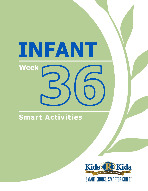# INFANT **Week**

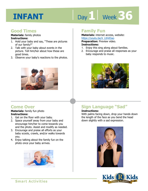# Day 1 | Week 36

#### **Good Times**

#### **Materials:** family photos **Instructions:**

- 1. Hold your baby and say, "These are pictures of our family?"
- 2. Talk with your baby about events in the picture. Tell him/her about how these are good times.
- 3. Observe your baby's reactions to the photos.



#### **Come Over**

#### **Materials:** family fun photo **Instructions:**

- 1. Get on the floor with your baby.
- 2. Space yourself away from your baby and encourage him/her to come towards you and the photo. Assist and modify as needed.
- 3. Encourage and praise all efforts as your baby scoots, crawls, and/or walks towards you.
- 4. Enjoy talking about the family fun on the photo once your baby arrives.



#### **Family Fun**

**Materials:** internet access, website: https://youtu.be/ii\_LtHrEiao

**Preparation:** Preview video.

#### **Instructions:**

- <u>IRtps.//yodd.be/il\_LufiLiab</u><br>**Preparation:** Preview video.<br>**Instructions:**<br>1. Enjoy this sing along about families.
- 2. Encourage and praise all responses as your baby responds to music.



#### **Sign Language "Sad"**

#### **Instructions:**

With palms facing down, drop your hands down the length of the face as you bend the head down slightly with a sad expression.



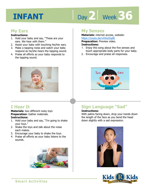# Day 2 | Week 36

#### **My Ears**

#### **Instructions:**

- 1. Hold your baby and say, "These are your ears. We hear with them."
- 2. Assist your baby with touching his/her ears.
- 3. Make a tapping noise and watch your baby respond as he/she hears the tapping sound.
- 4. Praise all efforts as your baby responds to the tapping sound.



#### **I Hear It**

**Materials:** two different noisy toys **Preparation:** Gather materials. **Instructions:** 

- 1. Hold your baby and say, "I'm going to shake your toys."
- 2. Shake the toys and talk about the noise each makes.
- 3. Encourage your baby to shake the toys.
- 4. Praise all efforts as your baby listens to the sounds.



#### **My Senses**

**Materials:** internet access, website: https://youtu.be/vXXiyIGqliE

**Preparation:** Preview video.

#### **Instructions:**

- **IRCDS.//YOUGLI.DE/VAATYTOUILE**<br>**Preparation:** Preview video.<br>1. Enjoy this song about the five senses and touch appropriate body parts for your baby.
- 2. Encourage and praise all responses.



### **Sign Language "Sad"**

#### **Instructions:**

With palms facing down, drop your hands down the length of the face as you bend the head down slightly with a sad expression.



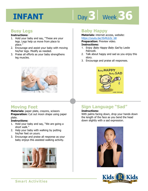# Day 3 | Week 36

#### **Busy Legs**

#### **Instructions:**

- 1. Hold your baby and say, "These are your legs. Legs help us move from place to place."
- 2. Encourage and assist your baby with moving his/her legs. Modify as needed.
- 3. Praise all efforts as your baby strengthens leg muscles.



#### **Moving Feet**

**Materials:** paper plate, crayons, scissors **Preparation:** Cut out moon shape using paper plate.

#### **Instructions:**

- 1. Hold your baby and say, "We are going a short walk."
- 2. Help your baby with walking by putting his/her feet on yours.
- 3. Encourage and praise all response as your baby enjoys this assisted walking activity.



#### **Baby Happy**

**Materials:** internet access, website: https://youtu.be/JSrRLb3z\_b8

**Preparation:** Preview video.

#### **Instructions:**

- <u>IRtps.//youtd.be/JSINEDS2\_06</u><br>**Preparation:** Preview video.<br>**Instructions:**<br>1. Enjoy *Baby Happy Baby Sad* by Leslie Patricelli.
- 2. Talk about happy and sad as you enjoy this story.
- 3. Encourage and praise all responses.



### **Sign Language "Sad"**

#### **Instructions:**

With palms facing down, drop your hands down the length of the face as you bend the head down slightly with a sad expression.



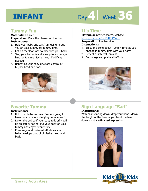# Day 4 Week 36

#### **Tummy Fun**

#### **Materials:** blanket

**Preparation:** Place the blanket on the floor. **Instructions:** 

- 1. Hold your baby and say, "I'm going to put you on your tummy for tummy time."
- 2. Get on the floor face-to-face with your baby.
- 3. Sing your baby's favorite song to encourage him/her to raise his/her head. Modify as needed.
- 4. Repeat as your baby develops control of his/her head and back.



#### **Favorite Tummy**

#### **Instructions:**

- 1. Hold your baby and say, "We are going to have tummy time while lying on mommy."
- 2. Lie on the bed so if your baby rolls off it will be on soft surfacing. Put your baby on your tummy and enjoy tummy time.
- 3. Encourage and praise all efforts as your baby develops control of his/her head and back.

#### **It's Time**

**Materials:** internet access, website: https://youtu.be/OOD-H9XCVaw

**Preparation:** Preview video.

#### **Instructions:**

- **IRCDS.//youtd.be/OOD-113XCVaw**<br>**Preparation:** Preview video.<br>1. Enjoy this song about Tummy Time as you engage in tummy time with your baby.
- 2. Repeat as interest remains.
- 3. Encourage and praise all efforts.



### **Sign Language "Sad"**

#### **Instructions:**

With palms facing down, drop your hands down the length of the face as you bend the head down slightly with a sad expression.